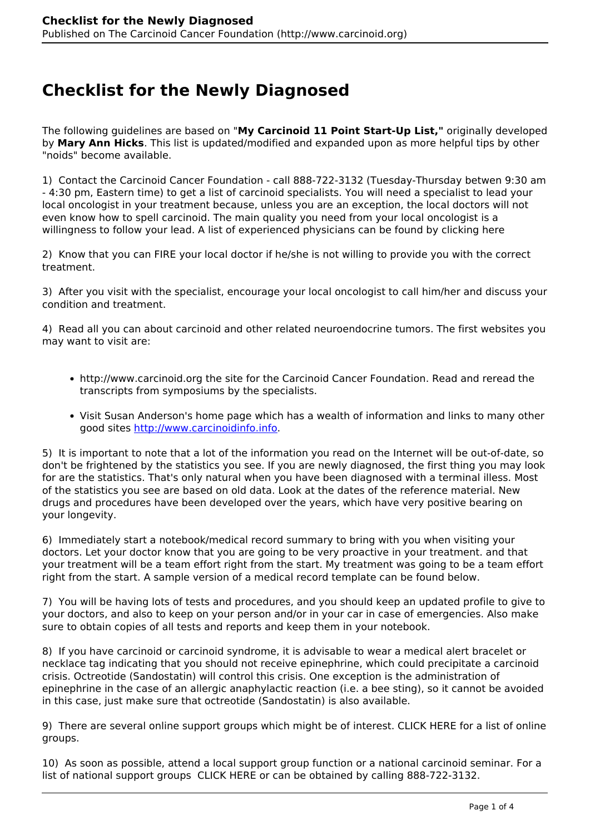## **Checklist for the Newly Diagnosed**

The following guidelines are based on "**My Carcinoid 11 Point Start-Up List,"** originally developed by **Mary Ann Hicks**. This list is updated/modified and expanded upon as more helpful tips by other "noids" become available.

1) Contact the Carcinoid Cancer Foundation - call 888-722-3132 (Tuesday-Thursday betwen 9:30 am - 4:30 pm, Eastern time) to get a list of carcinoid specialists. You will need a specialist to lead your local oncologist in your treatment because, unless you are an exception, the local doctors will not even know how to spell carcinoid. The main quality you need from your local oncologist is a willingness to follow your lead. A list of experienced physicians can be found by clicking here

2) Know that you can FIRE your local doctor if he/she is not willing to provide you with the correct treatment.

3) After you visit with the specialist, encourage your local oncologist to call him/her and discuss your condition and treatment.

4) Read all you can about carcinoid and other related neuroendocrine tumors. The first websites you may want to visit are:

- http://www.carcinoid.org the site for the Carcinoid Cancer Foundation. Read and reread the transcripts from symposiums by the specialists.
- Visit Susan Anderson's home page which has a wealth of information and links to many other good sites [http://www.carcinoidinfo.info.](http://carcinoidinfo.info/)

5) It is important to note that a lot of the information you read on the Internet will be out-of-date, so don't be frightened by the statistics you see. If you are newly diagnosed, the first thing you may look for are the statistics. That's only natural when you have been diagnosed with a terminal illess. Most of the statistics you see are based on old data. Look at the dates of the reference material. New drugs and procedures have been developed over the years, which have very positive bearing on your longevity.

6) Immediately start a notebook/medical record summary to bring with you when visiting your doctors. Let your doctor know that you are going to be very proactive in your treatment. and that your treatment will be a team effort right from the start. My treatment was going to be a team effort right from the start. A sample version of a medical record template can be found below.

7) You will be having lots of tests and procedures, and you should keep an updated profile to give to your doctors, and also to keep on your person and/or in your car in case of emergencies. Also make sure to obtain copies of all tests and reports and keep them in your notebook.

8) If you have carcinoid or carcinoid syndrome, it is advisable to wear a medical alert bracelet or necklace tag indicating that you should not receive epinephrine, which could precipitate a carcinoid crisis. Octreotide (Sandostatin) will control this crisis. One exception is the administration of epinephrine in the case of an allergic anaphylactic reaction (i.e. a bee sting), so it cannot be avoided in this case, just make sure that octreotide (Sandostatin) is also available.

9) There are several online support groups which might be of interest. CLICK HERE for a list of online groups.

10) As soon as possible, attend a local support group function or a national carcinoid seminar. For a list of national support groups CLICK HERE or can be obtained by calling 888-722-3132.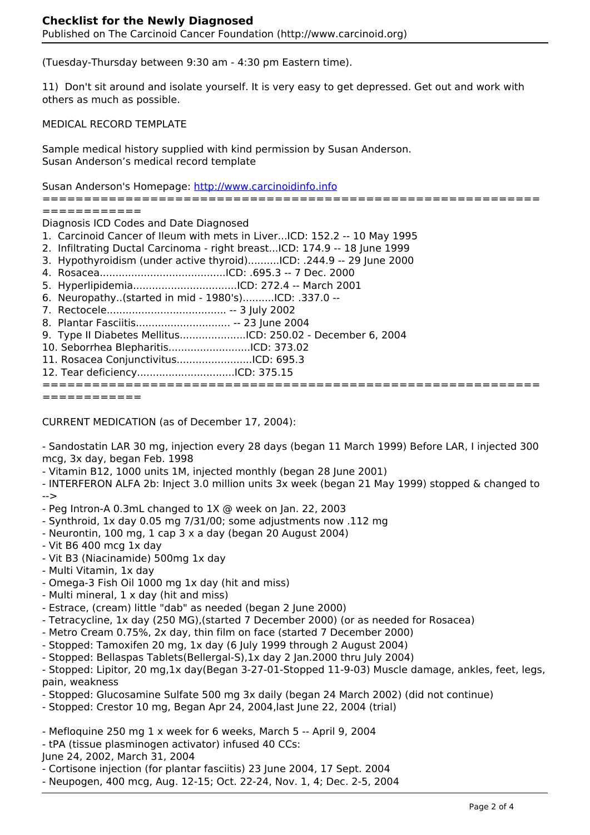(Tuesday-Thursday between 9:30 am - 4:30 pm Eastern time).

11) Don't sit around and isolate yourself. It is very easy to get depressed. Get out and work with others as much as possible.

MEDICAL RECORD TEMPLATE

Sample medical history supplied with kind permission by Susan Anderson. Susan Anderson's medical record template

Susan Anderson's Homepage: [http://www.carcinoidinfo.info](http://carcinoidinfo.info/)

============================================================

============

Diagnosis ICD Codes and Date Diagnosed

- 1. Carcinoid Cancer of Ileum with mets in Liver...ICD: 152.2 -- 10 May 1995
- 2. Infiltrating Ductal Carcinoma right breast...ICD: 174.9 -- 18 June 1999
- 3. Hypothyroidism (under active thyroid)..........ICD: .244.9 -- 29 June 2000
- 4. Rosacea........................................ICD: .695.3 -- 7 Dec. 2000
- 5. Hyperlipidemia.................................ICD: 272.4 -- March 2001
- 6. Neuropathy..(started in mid 1980's)..........ICD: .337.0 --
- 7. Rectocele...................................... -- 3 July 2002
- 8. Plantar Fasciitis.............................. -- 23 June 2004
- 9. Type II Diabetes Mellitus.....................ICD: 250.02 December 6, 2004
- 10. Seborrhea Blepharitis..........................ICD: 373.02
- 11. Rosacea Conjunctivitus........................ICD: 695.3
- 12. Tear deficiency...............................ICD: 375.15

## ============================================================

============

CURRENT MEDICATION (as of December 17, 2004):

- Sandostatin LAR 30 mg, injection every 28 days (began 11 March 1999) Before LAR, I injected 300 mcg, 3x day, began Feb. 1998

- Vitamin B12, 1000 units 1M, injected monthly (began 28 June 2001)

- INTERFERON ALFA 2b: Inject 3.0 million units 3x week (began 21 May 1999) stopped & changed to -->

- Peg Intron-A 0.3mL changed to 1X @ week on Jan. 22, 2003

- Synthroid, 1x day 0.05 mg 7/31/00; some adjustments now .112 mg
- Neurontin, 100 mg, 1 cap 3 x a day (began 20 August 2004)
- Vit B6 400 mcg 1x day
- Vit B3 (Niacinamide) 500mg 1x day
- Multi Vitamin, 1x day
- Omega-3 Fish Oil 1000 mg 1x day (hit and miss)
- Multi mineral, 1 x day (hit and miss)
- Estrace, (cream) little "dab" as needed (began 2 June 2000)
- Tetracycline, 1x day (250 MG),(started 7 December 2000) (or as needed for Rosacea)
- Metro Cream 0.75%, 2x day, thin film on face (started 7 December 2000)
- Stopped: Tamoxifen 20 mg, 1x day (6 July 1999 through 2 August 2004)
- Stopped: Bellaspas Tablets(Bellergal-S),1x day 2 Jan.2000 thru July 2004)

- Stopped: Lipitor, 20 mg,1x day(Began 3-27-01-Stopped 11-9-03) Muscle damage, ankles, feet, legs, pain, weakness

- Stopped: Glucosamine Sulfate 500 mg 3x daily (began 24 March 2002) (did not continue)
- Stopped: Crestor 10 mg, Began Apr 24, 2004,last June 22, 2004 (trial)
- Mefloquine 250 mg 1 x week for 6 weeks, March 5 -- April 9, 2004
- tPA (tissue plasminogen activator) infused 40 CCs:
- June 24, 2002, March 31, 2004

- Cortisone injection (for plantar fasciitis) 23 June 2004, 17 Sept. 2004

- Neupogen, 400 mcg, Aug. 12-15; Oct. 22-24, Nov. 1, 4; Dec. 2-5, 2004